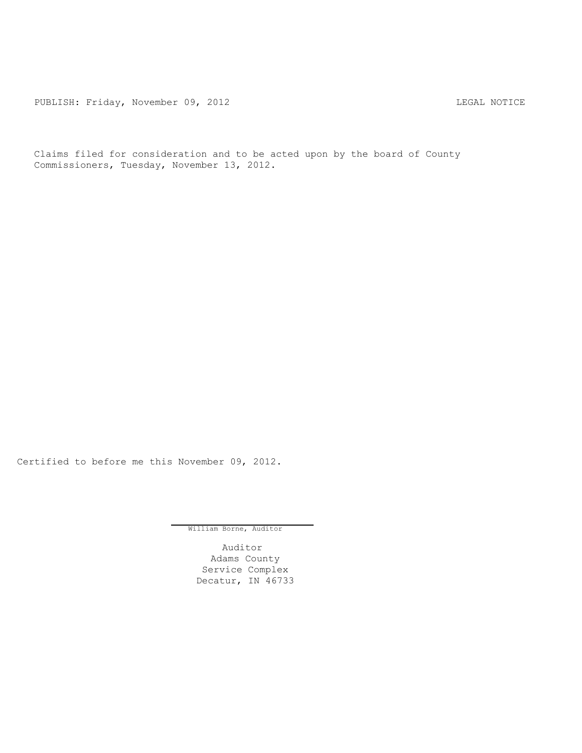PUBLISH: Friday, November 09, 2012 CHA CHARL MOTICE

Claims filed for consideration and to be acted upon by the board of County Commissioners, Tuesday, November 13, 2012.

Certified to before me this November 09, 2012.

William Borne, Auditor

Auditor Adams County Service Complex Decatur, IN 46733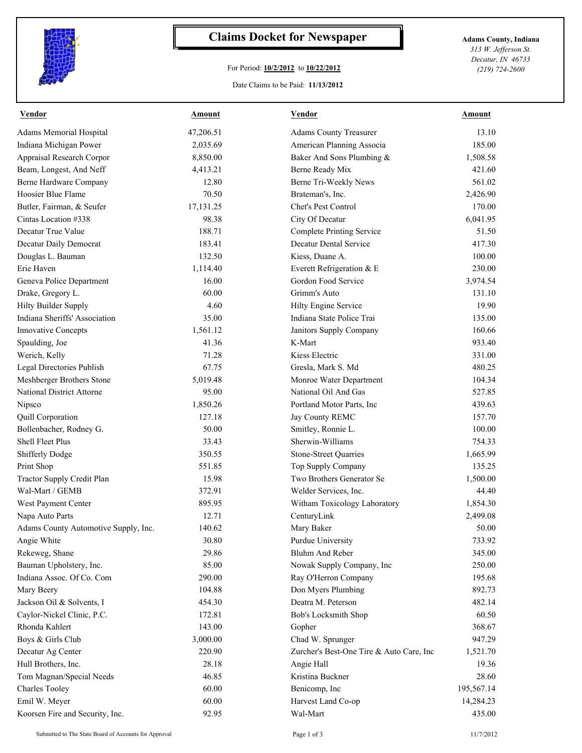

## **Claims Docket for Newspaper Adams County, Indiana**

## For Period: **10/2/2012** to **10/22/2012**

Date Claims to be Paid: **11/13/2012**

*313 W. Jefferson St. Decatur, IN 46733 (219) 724-2600*

| <b>Vendor</b>                        | Amount    | <b>Vendor</b>                            | Amount     |
|--------------------------------------|-----------|------------------------------------------|------------|
| Adams Memorial Hospital              | 47,206.51 | <b>Adams County Treasurer</b>            | 13.10      |
| Indiana Michigan Power               | 2,035.69  | American Planning Associa                | 185.00     |
| Appraisal Research Corpor            | 8,850.00  | Baker And Sons Plumbing &                | 1,508.58   |
| Beam, Longest, And Neff              | 4,413.21  | Berne Ready Mix                          | 421.60     |
| Berne Hardware Company               | 12.80     | Berne Tri-Weekly News                    | 561.02     |
| Hoosier Blue Flame                   | 70.50     | Brateman's, Inc.                         | 2,426.90   |
| Butler, Fairman, & Seufer            | 17,131.25 | Chet's Pest Control                      | 170.00     |
| Cintas Location #338                 | 98.38     | City Of Decatur                          | 6,041.95   |
| Decatur True Value                   | 188.71    | <b>Complete Printing Service</b>         | 51.50      |
| Decatur Daily Democrat               | 183.41    | Decatur Dental Service                   | 417.30     |
| Douglas L. Bauman                    | 132.50    | Kiess, Duane A.                          | 100.00     |
| Erie Haven                           | 1,114.40  | Everett Refrigeration & E                | 230.00     |
| Geneva Police Department             | 16.00     | Gordon Food Service                      | 3,974.54   |
| Drake, Gregory L.                    | 60.00     | Grimm's Auto                             | 131.10     |
| <b>Hilty Builder Supply</b>          | 4.60      | Hilty Engine Service                     | 19.90      |
| Indiana Sheriffs' Association        | 35.00     | Indiana State Police Trai                | 135.00     |
| <b>Innovative Concepts</b>           | 1,561.12  | Janitors Supply Company                  | 160.66     |
| Spaulding, Joe                       | 41.36     | K-Mart                                   | 933.40     |
| Werich, Kelly                        | 71.28     | Kiess Electric                           | 331.00     |
| Legal Directories Publish            | 67.75     | Gresla, Mark S. Md                       | 480.25     |
| Meshberger Brothers Stone            | 5,019.48  | Monroe Water Department                  | 104.34     |
| <b>National District Attorne</b>     | 95.00     | National Oil And Gas                     | 527.85     |
| Nipsco                               | 1,850.26  | Portland Motor Parts, Inc                | 439.63     |
| Quill Corporation                    | 127.18    | Jay County REMC                          | 157.70     |
| Bollenbacher, Rodney G.              | 50.00     | Smitley, Ronnie L.                       | 100.00     |
| Shell Fleet Plus                     | 33.43     | Sherwin-Williams                         | 754.33     |
| <b>Shifferly Dodge</b>               | 350.55    | Stone-Street Quarries                    | 1,665.99   |
| Print Shop                           | 551.85    | Top Supply Company                       | 135.25     |
| Tractor Supply Credit Plan           | 15.98     | Two Brothers Generator Se                | 1,500.00   |
| Wal-Mart / GEMB                      | 372.91    | Welder Services, Inc.                    | 44.40      |
| West Payment Center                  | 895.95    | Witham Toxicology Laboratory             | 1,854.30   |
| Napa Auto Parts                      | 12.71     | CenturyLink                              | 2,499.08   |
| Adams County Automotive Supply, Inc. | 140.62    | Mary Baker                               | 50.00      |
| Angie White                          | 30.80     | Purdue University                        | 733.92     |
| Rekeweg, Shane                       | 29.86     | <b>Bluhm And Reber</b>                   | 345.00     |
| Bauman Upholstery, Inc.              | 85.00     | Nowak Supply Company, Inc                | 250.00     |
| Indiana Assoc. Of Co. Com            | 290.00    | Ray O'Herron Company                     | 195.68     |
| Mary Beery                           | 104.88    | Don Myers Plumbing                       | 892.73     |
| Jackson Oil & Solvents, I            | 454.30    | Deatra M. Peterson                       | 482.14     |
| Caylor-Nickel Clinic, P.C.           | 172.81    | Bob's Locksmith Shop                     | 60.50      |
| Rhonda Kahlert                       | 143.00    | Gopher                                   | 368.67     |
| Boys & Girls Club                    | 3,000.00  | Chad W. Sprunger                         | 947.29     |
| Decatur Ag Center                    | 220.90    | Zurcher's Best-One Tire & Auto Care, Inc | 1,521.70   |
| Hull Brothers, Inc.                  | 28.18     | Angie Hall                               | 19.36      |
| Tom Magnan/Special Needs             | 46.85     | Kristina Buckner                         | 28.60      |
| <b>Charles Tooley</b>                | 60.00     | Benicomp, Inc                            | 195,567.14 |
| Emil W. Meyer                        | 60.00     | Harvest Land Co-op                       | 14,284.23  |
| Koorsen Fire and Security, Inc.      | 92.95     | Wal-Mart                                 | 435.00     |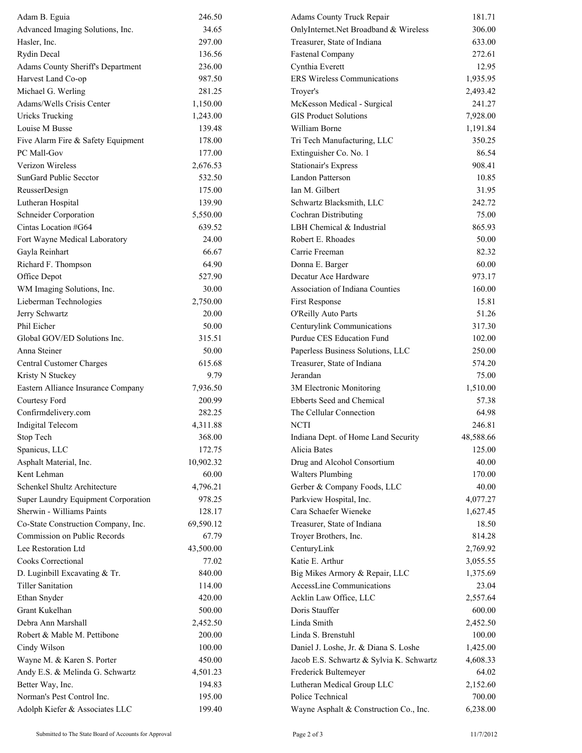| Adam B. Eguia                       | 246.50    | Adams County Truck Repair                | 181.71    |
|-------------------------------------|-----------|------------------------------------------|-----------|
| Advanced Imaging Solutions, Inc.    | 34.65     | OnlyInternet.Net Broadband & Wireless    | 306.00    |
| Hasler, Inc.                        | 297.00    | Treasurer, State of Indiana              | 633.00    |
| <b>Rydin Decal</b>                  | 136.56    | <b>Fastenal Company</b>                  | 272.61    |
| Adams County Sheriff's Department   | 236.00    | Cynthia Everett                          | 12.95     |
| Harvest Land Co-op                  | 987.50    | <b>ERS</b> Wireless Communications       | 1,935.95  |
| Michael G. Werling                  | 281.25    | Troyer's                                 | 2,493.42  |
| Adams/Wells Crisis Center           | 1,150.00  | McKesson Medical - Surgical              | 241.27    |
| <b>Uricks Trucking</b>              | 1,243.00  | <b>GIS Product Solutions</b>             | 7,928.00  |
| Louise M Busse                      | 139.48    | William Borne                            | 1,191.84  |
| Five Alarm Fire & Safety Equipment  | 178.00    | Tri Tech Manufacturing, LLC              | 350.25    |
| PC Mall-Gov                         | 177.00    | Extinguisher Co. No. 1                   | 86.54     |
| Verizon Wireless                    | 2,676.53  | <b>Stationair's Express</b>              | 908.41    |
| SunGard Public Secctor              | 532.50    | Landon Patterson                         | 10.85     |
| ReusserDesign                       | 175.00    | Ian M. Gilbert                           | 31.95     |
| Lutheran Hospital                   | 139.90    | Schwartz Blacksmith, LLC                 | 242.72    |
| Schneider Corporation               | 5,550.00  | Cochran Distributing                     | 75.00     |
| Cintas Location #G64                | 639.52    | LBH Chemical & Industrial                | 865.93    |
| Fort Wayne Medical Laboratory       | 24.00     | Robert E. Rhoades                        | 50.00     |
| Gayla Reinhart                      | 66.67     | Carrie Freeman                           | 82.32     |
| Richard F. Thompson                 | 64.90     | Donna E. Barger                          | 60.00     |
| Office Depot                        | 527.90    | Decatur Ace Hardware                     | 973.17    |
| WM Imaging Solutions, Inc.          | 30.00     | Association of Indiana Counties          | 160.00    |
| Lieberman Technologies              | 2,750.00  | First Response                           | 15.81     |
| Jerry Schwartz                      | 20.00     | O'Reilly Auto Parts                      | 51.26     |
| Phil Eicher                         | 50.00     | Centurylink Communications               | 317.30    |
| Global GOV/ED Solutions Inc.        | 315.51    | Purdue CES Education Fund                | 102.00    |
| Anna Steiner                        | 50.00     | Paperless Business Solutions, LLC        | 250.00    |
| Central Customer Charges            | 615.68    | Treasurer, State of Indiana              | 574.20    |
| Kristy N Stuckey                    | 9.79      | Jerandan                                 | 75.00     |
| Eastern Alliance Insurance Company  | 7,936.50  | 3M Electronic Monitoring                 | 1,510.00  |
| Courtesy Ford                       | 200.99    | Ebberts Seed and Chemical                | 57.38     |
| Confirmdelivery.com                 | 282.25    | The Cellular Connection                  | 64.98     |
| <b>Indigital Telecom</b>            | 4,311.88  | <b>NCTI</b>                              | 246.81    |
| Stop Tech                           | 368.00    | Indiana Dept. of Home Land Security      | 48,588.66 |
| Spanicus, LLC                       | 172.75    | Alicia Bates                             | 125.00    |
| Asphalt Material, Inc.              | 10,902.32 | Drug and Alcohol Consortium              | 40.00     |
| Kent Lehman                         | 60.00     | <b>Walters Plumbing</b>                  | 170.00    |
| Schenkel Shultz Architecture        | 4,796.21  | Gerber & Company Foods, LLC              | 40.00     |
| Super Laundry Equipment Corporation | 978.25    | Parkview Hospital, Inc.                  | 4,077.27  |
| Sherwin - Williams Paints           | 128.17    | Cara Schaefer Wieneke                    | 1,627.45  |
| Co-State Construction Company, Inc. | 69,590.12 | Treasurer, State of Indiana              | 18.50     |
| Commission on Public Records        | 67.79     | Troyer Brothers, Inc.                    | 814.28    |
| Lee Restoration Ltd                 | 43,500.00 | CenturyLink                              | 2,769.92  |
| Cooks Correctional                  | 77.02     | Katie E. Arthur                          | 3,055.55  |
| D. Luginbill Excavating & Tr.       | 840.00    | Big Mikes Armory & Repair, LLC           | 1,375.69  |
| <b>Tiller Sanitation</b>            | 114.00    | AccessLine Communications                | 23.04     |
| Ethan Snyder                        | 420.00    | Acklin Law Office, LLC                   | 2,557.64  |
| Grant Kukelhan                      | 500.00    | Doris Stauffer                           | 600.00    |
| Debra Ann Marshall                  | 2,452.50  | Linda Smith                              | 2,452.50  |
| Robert & Mable M. Pettibone         | 200.00    | Linda S. Brenstuhl                       | 100.00    |
| Cindy Wilson                        | 100.00    | Daniel J. Loshe, Jr. & Diana S. Loshe    | 1,425.00  |
| Wayne M. & Karen S. Porter          | 450.00    | Jacob E.S. Schwartz & Sylvia K. Schwartz | 4,608.33  |
| Andy E.S. & Melinda G. Schwartz     | 4,501.23  | Frederick Bultemeyer                     | 64.02     |
| Better Way, Inc.                    | 194.83    | Lutheran Medical Group LLC               | 2,152.60  |
| Norman's Pest Control Inc.          | 195.00    | Police Technical                         | 700.00    |
| Adolph Kiefer & Associates LLC      | 199.40    | Wayne Asphalt & Construction Co., Inc.   | 6,238.00  |